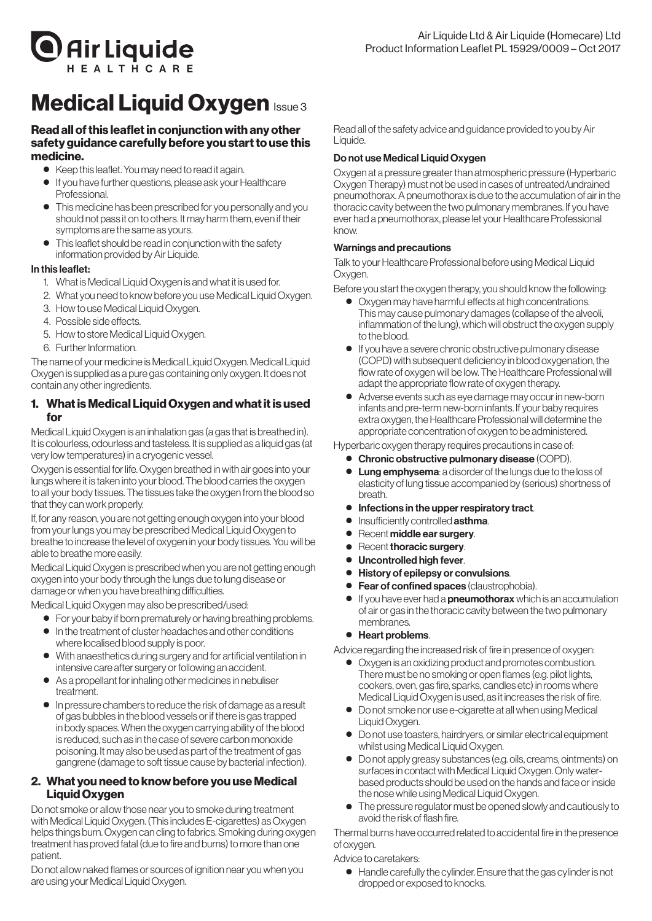

# **Medical Liquid Oxygen Issue 3**

# Read all of this leaflet in conjunction with any other safety guidance carefully before you start to use this medicine.

- Keep this leaflet. You may need to read it again.
- $\bullet$  If you have further questions, please ask your Healthcare **Professional**
- **•** This medicine has been prescribed for you personally and you should not pass it on to others. It may harm them, even if their symptoms are the same as yours.
- This leaflet should be read in conjunction with the safety information provided by Air Liquide.

# In this leaflet:

- 1. What is Medical Liquid Oxygen is and what it is used for.
- 2. What you need to know before you use Medical Liquid Oxygen.
- 3. How to use Medical Liquid Oxygen.
- 4. Possible side effects.
- 5. How to store Medical Liquid Oxygen.
- 6. Further Information.

The name of your medicine is Medical Liquid Oxygen. Medical Liquid Oxygen is supplied as a pure gas containing only oxygen. It does not contain any other ingredients.

# 1. What is Medical Liquid Oxygen and what it is used for

Medical Liquid Oxygen is an inhalation gas (a gas that is breathed in). It is colourless, odourless and tasteless. It is supplied as a liquid gas (at very low temperatures) in a cryogenic vessel.

Oxygen is essential forlife. Oxygen breathed in with air goes into your lungs where it is taken into your blood. The blood carries the oxygen to all your body tissues. The tissues take the oxygen fromthe blood so that they can work properly.

If, for any reason, you are not getting enough oxygen into your blood from your lungs you may be prescribed Medical Liquid Oxygen to breathe to increase the level of oxygen in your body tissues.You will be able to breathemore easily.

Medical Liquid Oxygen is prescribed when you are not getting enough oxygen into your body through the lungs due to lung disease or damage or when you have breathing difficulties.

Medical Liquid Oxygenmay also be prescribed/used:

- For your baby if born prematurely or having breathing problems.
- ● In the treatment of cluster headaches and other conditions where localised blood supply is poor.
- With anaesthetics during surgery and for artificial ventilation in intensive care after surgery or following an accident.
- As a propellant for inhaling other medicines in nebuliser treatment.
- ● In pressure chambers to reduce the risk of damage as a result of gas bubbles in the blood vessels or if there is gas trapped in body spaces. When the oxygen carrying ability of the blood is reduced, such as in the case of severe carbon monoxide poisoning. Itmay also be used as part of the treatment of gas gangrene (damage to soft tissue cause by bacterial infection).

# 2. What you need to know before you use Medical Liquid Oxygen

Do not smoke or allow those near you to smoke during treatment with Medical Liquid Oxygen. (This includes E-cigarettes) as Oxygen helps things burn. Oxygen can cling to fabrics. Smoking during oxygen treatment has proved fatal (due to fire and burns) tomore than one patient.

Do not allow naked flames or sources of ignition near you when you are using your Medical Liquid Oxygen.

Read all of the safety advice and quidance provided to you by Air Liquide.

# Do not use Medical Liquid Oxygen

Oxygen at a pressure greater than atmospheric pressure (Hyperbaric Oxygen Therapy) must not be used in cases of untreated/undrained pneumothorax. A pneumothorax is due to the accumulation of air in the thoracic cavity between the two pulmonarymembranes. If you have ever had a pneumothorax, please let your Healthcare Professional know.

# Warnings and precautions

Talk to your Healthcare Professional before using Medical Liquid Oxygen.

Before you start the oxygen therapy, you should know the following:

- Oxygen may have harmful effects at high concentrations. Thismay cause pulmonary damages (collapse of the alveoli, inflammation of the lung), which will obstruct the oxygen supply to the blood.
- If you have a severe chronic obstructive pulmonary disease (COPD) with subsequent deficiency in blood oxygenation, the flow rate of oxygen will be low. The Healthcare Professional will adapt the appropriate flow rate of oxygen therapy.
- Adverse events such as eye damage may occur in new-born infants and pre-termnew-born infants. If your baby requires extra oxygen, the Healthcare Professional will determine the appropriate concentration of oxygen to be administered.

Hyperbaric oxygen therapy requires precautions in case of:

- Chronic obstructive pulmonary disease (COPD).
- Lung emphysema: a disorder of the lungs due to the loss of elasticity of lung tissue accompanied by (serious) shortness of breath.
- Infections in the upper respiratory tract.
- **•** Insufficiently controlled asthma.
- Recent middle ear surgery.
- **Recent thoracic surgery.**
- Uncontrolled high fever.
- History of epilepsy or convulsions.
- **Fear of confined spaces** (claustrophobia).
- If you have ever had a **pneumothorax** which is an accumulation of air or gas in the thoracic cavity between the two pulmonary membranes.

## ● Heart problems.

Advice regarding the increased risk of fire in presence of oxygen:

- ● Oxygen is an oxidizing product and promotes combustion. Theremust be no smoking or open flames (e.g. pilot lights, cookers, oven, gas fire, sparks, candles etc) in rooms where Medical Liquid Oxygen is used, as it increases the risk of fire.
- Do not smoke nor use e-cigarette at all when using Medical Liquid Oxygen.
- Do not use toasters, hairdryers, or similar electrical equipment whilst using Medical Liquid Oxygen.
- Do not apply greasy substances (e.g. oils, creams, ointments) on surfaces in contact with Medical Liquid Oxygen. Only waterbased products should be used on the hands and face or inside the nose while using Medical Liquid Oxygen.
- The pressure regulator must be opened slowly and cautiously to avoid the risk of flash fire.

Thermal burns have occurred related to accidental fire in the presence of oxygen.

Advice to caretakers:

● Handle carefully the cylinder. Ensure that the gas cylinder is not dropped or exposed to knocks.